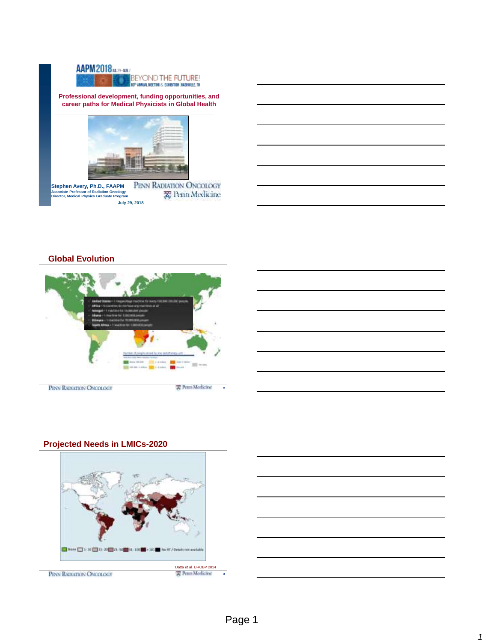

**Professional development, funding opportunities, and career paths for Medical Physicists in Global Health**



PENN RADIATION ONCOLOGY **Stephen Avery, Ph.D., FAAPM** 爱 Penn Medicine **Associate Professor of Radiation Oncology Director, Medical Physics Graduate Program July 29, 2018**

# **Global Evolution**





# **Projected Needs in LMICs-2020**



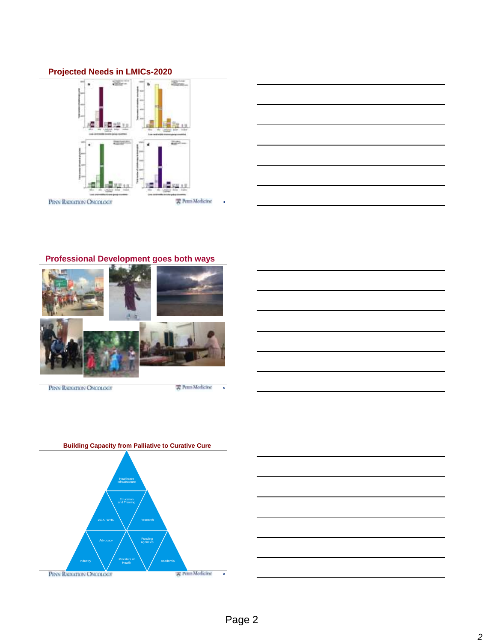# **Projected Needs in LMICs-2020**





# **Professional Development goes both ways**



PENN RADIATION ONCOLOGY

雲 Penn Modicine



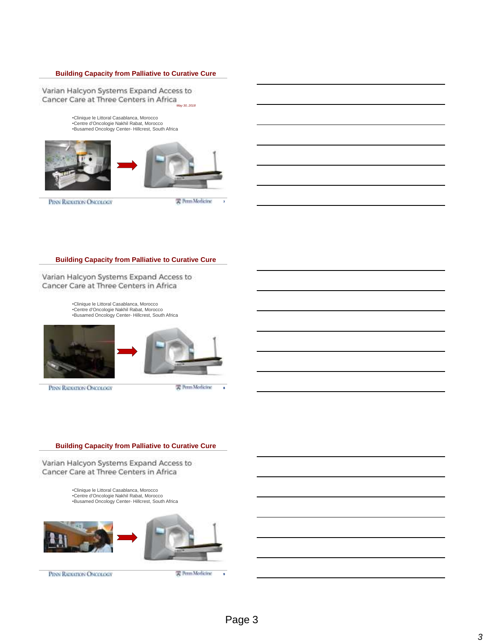### **Building Capacity from Palliative to Curative Cure**

Varian Halcyon Systems Expand Access to Cancer Care at Three Centers in Africa

> •Clinique le Littoral Casablanca, Morocco •Centre d'Oncologie Nakhil Rabat, Morocco •Busamed Oncology Center- Hillcrest, South Africa



PENN RADIATION ONCOLOGY

实 Perm Medicine

7

### **Building Capacity from Palliative to Curative Cure**

Varian Halcyon Systems Expand Access to Cancer Care at Three Centers in Africa

> •Clinique le Littoral Casablanca, Morocco •Centre d'Oncologie Nakhil Rabat, Morocco •Busamed Oncology Center- Hillcrest, South Africa



PENN RADIATION ONCOLOGY



雲 Perm Medicine

8

### **Building Capacity from Palliative to Curative Cure**

Varian Halcyon Systems Expand Access to Cancer Care at Three Centers in Africa

> •Clinique le Littoral Casablanca, Morocco •Centre d'Oncologie Nakhil Rabat, Morocco •Busamed Oncology Center- Hillcrest, South Africa



PENN RADIATION ONCOLOGY

雲 Penn Medicine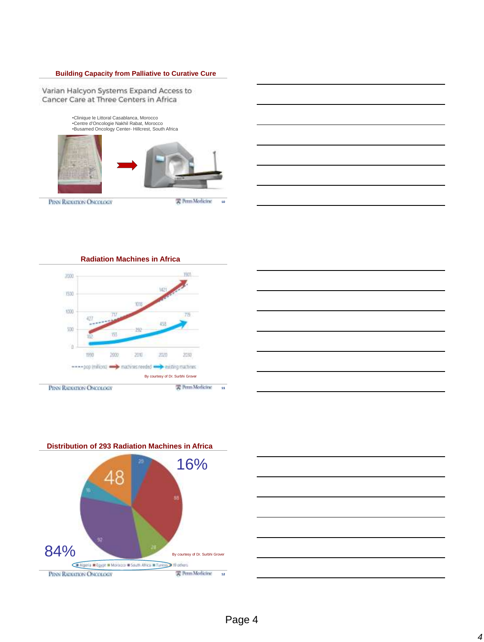### **Building Capacity from Palliative to Curative Cure**

Varian Halcyon Systems Expand Access to Cancer Care at Three Centers in Africa











Page 4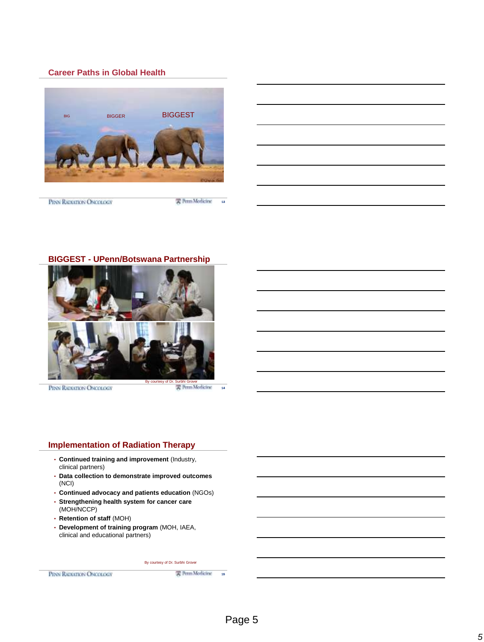### **Career Paths in Global Health**



PENN RADIATION ONCOLOGY

雲 Perm Morlicine

13



PENN RADIATION ONCOLOGY

实 Perm Medicine

14

# **Implementation of Radiation Therapy**

- **Continued training and improvement** (Industry, clinical partners)
- **Data collection to demonstrate improved outcomes**  (NCI)
- **Continued advocacy and patients education** (NGOs)
- **Strengthening health system for cancer care**  (MOH/NCCP)
- **Retention of staff** (MOH)
- **Development of training program** (MOH, IAEA, clinical and educational partners)

#### By courtesy of Dr. Surbhi Grover

PENN RADIATION ONCOLOGY

需 Perm Modicine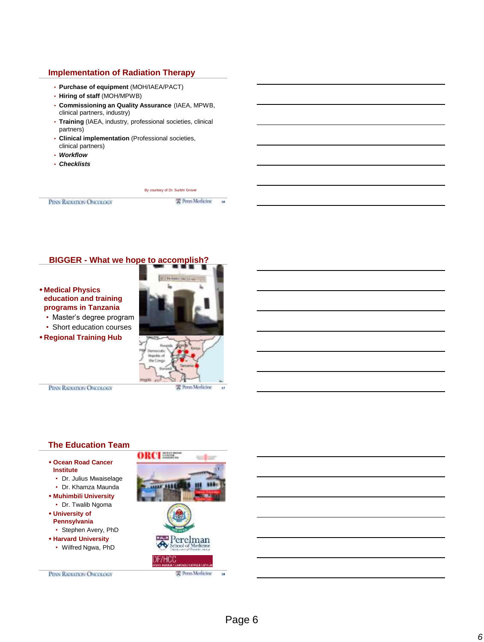### **Implementation of Radiation Therapy**

- **Purchase of equipment** (MOH/IAEA/PACT)
- **Hiring of staff** (MOH/MPWB)
- **Commissioning an Quality Assurance** (IAEA, MPWB, clinical partners, industry)
- **Training** (IAEA, industry, professional societies, clinical partners)
- **Clinical implementation** (Professional societies, clinical partners)
- *Workflow*
- *Checklists*

PERN RADIATION ONCOLOGY

By courtesy of Dr. Surbhi Grover 实 Perm Medicine

16

# **BIGGER - What we hope to accomplish?**

### **Medical Physics education and training programs in Tanzania**

• Master's degree program

- Short education courses
- **Regional Training Hub**



PENN RADIATION ONCOLOGY

### **The Education Team**

- **Ocean Road Cancer Institute**
	- Dr. Julius Mwaiselage
	- Dr. Khamza Maunda
- **Muhimbili University** • Dr. Twalib Ngoma
- **University of**
- **Pennsylvania**
- Stephen Avery, PhD
- **Harvard University**
	- Wilfred Ngwa, PhD



PENN RADIATION ONCOLOGY

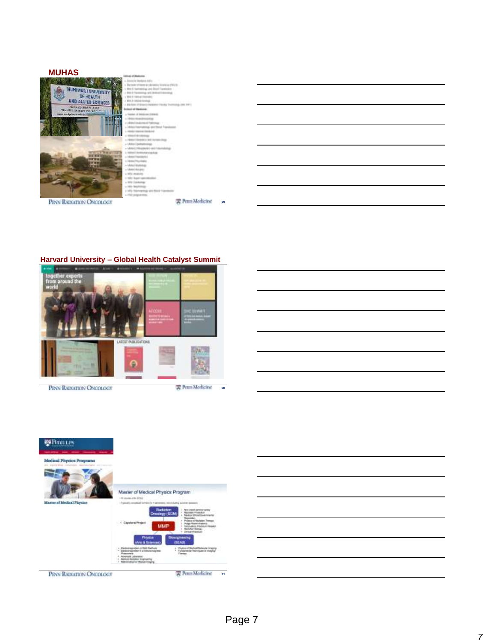

# **Harvard University – Global Health Catalyst Summit**



PENN RADIATION ONCOLOGY

雲 Perm Modicine



PENN RADIATION ONCOLOGY

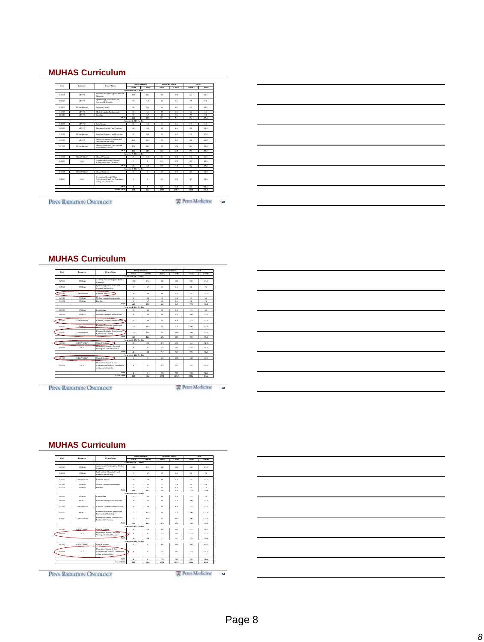# **MUHAS Curriculum**

| Code          | Instructor         | Provident's Tode of<br>Theory/Seminary<br>Course Name                                        |                           |                          | Total                   |                 |                  |         |
|---------------|--------------------|----------------------------------------------------------------------------------------------|---------------------------|--------------------------|-------------------------|-----------------|------------------|---------|
|               |                    |                                                                                              | Home                      | Cadite                   | Hanny                   | Coultre         | <b>Hours</b>     | Couline |
|               |                    |                                                                                              | Semester 1: 28.7 Credits  |                          |                         |                 |                  |         |
| GA 605        | MUJUAS             | Anatomy and Physiology for Medical<br><b>Physicists</b>                                      | 133                       | 13.2                     | 300                     | 33.0            | 432              | 43.2    |
| 13,600        | MUJUAS             | Enidentiplory, Biostatistics and<br>Research Methodology                                     | $\overline{a}$            | 5.7                      | 15                      | 1.5             | 72               | 7.2     |
| GB 605        | 11Pons Marcust     | Radiation Physics                                                                            | u.                        | 66                       | $\mu$                   | 66              | 132              | 13.2    |
| CC 605        | MERIAS             | Medical Imagine Fundamentals                                                                 | <b>TT</b>                 | 11                       | 11                      | 33              | 66               | 6.6     |
| TT 600        | MERIAS             | <b>Blockley</b>                                                                              | $\overline{ }$            | $\overline{1}$           | $\overline{\mathbf{1}}$ | $\overline{15}$ | $\overline{72}$  | 72      |
|               |                    | Tarul                                                                                        | 441                       | <b>197</b>               | 331                     | 7.2             | 774              | 77.4    |
|               |                    |                                                                                              | Separator 2: 24.0 Credits |                          |                         |                 |                  |         |
| RB 605        | MUJUAS             | Radiobiology                                                                                 | ee.                       | 3.5                      | 60                      | 1.5             | 115              | 5.0     |
| 1117,600      | MERIAS             | Education Principles and Practices                                                           | an.                       | 40 <sup>2</sup>          | <b>AD</b>               | 6.0             | MO               | nn o    |
| GD605         | UPons Harvard      | Radiation Dosimetry and Protection                                                           | 88                        | 8.8                      | 90                      | 9.0             | 178              | 17.6    |
| GE 605        | MERIAS             | Physics of Diamostic Imagine and<br>Interventional Radiology                                 | 110                       | 11.0                     | 9h                      | 0 <sub>0</sub>  | 200              | 300     |
| <b>GE 605</b> | 11Pons Marcust     | Physics of Radiation Oncology and<br>Radonickle Therapy                                      | 110                       | 11.0                     | 9h                      | 900             | 200              | 33.0    |
|               |                    | Tetal                                                                                        | 145                       | $\overline{u}$           | 625                     | 625             | 793              | 79.3    |
|               |                    |                                                                                              | Semester & 19.3 Credits   |                          |                         |                 |                  |         |
| GG605         | <b>GRCI VARIAN</b> | <b>Cloical Training</b>                                                                      | $\infty$                  | 2.0                      | 497                     | 49.7            | 512              | 51.2    |
| RR 699        | ALL.               | Dissertation Module1: Proposal<br>Witting and Ethical Clearance                              | $\alpha$                  | $\alpha$                 | 225                     | 22.5            | 225              | 77.5    |
|               |                    | Tetal                                                                                        | $\overline{\mathbf{v}}$   | 20                       | 717                     | 71.7            | 772              | 77.2    |
|               |                    |                                                                                              | Semester 4: 22.2 Credits  |                          |                         |                 |                  |         |
| GH 605        | <b>GRCI/VARIAN</b> | <b>Cloical Rotation</b>                                                                      | $\alpha$                  | $^{\circ}$               | ann                     | 400             | ano.             | 400     |
| RR 699        | ALL.               | Dissension Models 2: Data<br>Collection and Analysis. Dissertation<br>writing and submission | $\alpha$                  | $^{\circ}$               | 375                     | 12.5            | <b>THE</b>       | 12.5    |
|               |                    | Tarul                                                                                        | $\overline{a}$            | $\overline{\phantom{a}}$ | 725                     | 72.5            | 725              | 725     |
|               |                    | <b>Grand Total</b>                                                                           | $\omega$ s                | 36.2                     | 2395                    | 213.7           | 3864             | 386.4   |
|               |                    |                                                                                              |                           |                          |                         |                 | 实 Perm Morlicine |         |



# **MUHAS Curriculum**

| Code<br>Instructor<br>Course Name |                   |                                                                                               | Theory/Seminary           | <b>Practiculat Baicul</b> |          | Tetal   |              |            |
|-----------------------------------|-------------------|-----------------------------------------------------------------------------------------------|---------------------------|---------------------------|----------|---------|--------------|------------|
|                                   |                   |                                                                                               | Henry                     | Couting                   | House    | Couling | Hampy        | Couting    |
|                                   |                   |                                                                                               | Sepperter 1: 28.7 Credits |                           |          |         |              |            |
| GA 605                            | MILLIC            | Assessor and Physiology for Medical<br>Physicians                                             | 1D                        | 13.2                      | 100      | to o    | 417          | 43.7       |
| ER 600                            | MUHAS             | Enklenishey, Biomeietics and<br>Rosearch Methodology                                          | <b>CT</b>                 | 5.7                       | 15       | 1.5     | 72           | 7.2        |
| GB 605                            | UPono/Harvard     | Radiation Physics                                                                             | $^{\prime\prime}$         | 6.6                       | $\sim$   | 66      | 132          | 13.2       |
| GC605                             | MUHAS             | Medical Imaging Fundamentals                                                                  | <b>II</b>                 | 1.1                       | TT.      | 11      | $\alpha$     | 6.6        |
| ET 600                            | MILLIC            | <b>Bloodbird</b>                                                                              | <b>CT</b>                 | 57                        | 15       | 1.5     | 72           | 7.2        |
|                                   |                   | Total                                                                                         | 443                       | 19.7                      | w        | 7.2     | 774          | 77.4       |
|                                   |                   |                                                                                               | Separator 2: 24.0 Credits |                           |          |         |              |            |
| 918.605                           | MILLIC            | Radiobiology                                                                                  | <b>KK</b>                 | 1.5                       | 60       | 1.5     | 115          | 5.0        |
| 122,600                           | MILLIC            | Education Principles and Practices                                                            | AD.                       | 40 <sup>2</sup>           | en.      | 60      | ann.         | 10.0       |
| <b>CD605</b>                      | 1 Depart Lancard  | Radiation Dosimetry and Protection                                                            | $^{56}$                   | 5.5                       | $\alpha$ | 90      | 176          | 17.6       |
| <b>GEARS</b>                      | <b>MUHAS</b>      | Physics of Diamostic Imagine and<br><b>EXISTENTIAL Professional</b>                           | 110                       | 11.0                      | $\alpha$ | 90      | m            | 20.0       |
| GF 605                            | 1 Depart Lancard  | Physics of Radiation Oncolors and<br>Radiomedde Therapy                                       | 110                       | 11.0                      | $\alpha$ | 0.00    | m            | 20.0       |
|                                   |                   | Total                                                                                         | 145                       | 14.5                      | 625      | 62.5    | 793          | 79.3       |
|                                   |                   |                                                                                               | Separator 3: 19.3 Coulits |                           |          |         |              |            |
| GG605                             | <b>ORCLYARIAN</b> | Cleical Training                                                                              | $\overline{\infty}$       | 2.0                       | 492      | 40.7    | 512          | 51.2       |
| 22,400                            | ALL.              | Dimension Module1: Proposal<br>Writing and Ethical Clearance                                  | ٠                         | $\alpha$                  | 775      | 77.5    | 775          | 77.5       |
|                                   |                   | Total                                                                                         | $^{26}$                   | 2.0                       | 717      | 71.7    | 772          | 77.2       |
|                                   |                   |                                                                                               | Sepperter 4: 22.2 Credits |                           |          |         |              |            |
| <b>GBI 605</b>                    | <b>ORCLYARIAN</b> | Cleical Rotation                                                                              | $\overline{a}$            | $\overline{0}$            | 400      | 40.0    | 433          | 40.0       |
| 88,699                            | ALL.              | Directation Module 2: Data<br>Collection and Analysis, Diosertation<br>writing and submission | $\circ$                   | $\circ$                   | 325      | 32.5    | 325          | 32.5       |
|                                   |                   | Total                                                                                         | ٠                         | $\circ$                   | 725      | 72.5    | 725          | 72.5       |
|                                   |                   | <b>Grand Tatal</b>                                                                            | <b>GRS</b>                | 36.2                      | 2.99%    | 7137    | <b>Water</b> | <b>M64</b> |

PENN RADIATION ONCOLOGY

雲 Perm Modicine 23

# **MUHAS Curriculum**

| Code          | Instructor<br>Contrac Norma |                                                                                                |                           | Theory/Seminary<br><b>Practiculat Balcul</b> |               |         |            | Tetal   |
|---------------|-----------------------------|------------------------------------------------------------------------------------------------|---------------------------|----------------------------------------------|---------------|---------|------------|---------|
|               |                             |                                                                                                | <b>Hanny</b>              | Couties                                      | <b>House</b>  | Couling | Hamp       | Credits |
|               |                             |                                                                                                | Sepperter 1: 28.7 Credits |                                              |               |         |            |         |
| GA605         | MILLIC                      | Assessor and Physiology for Medical<br><b>Physicians</b>                                       | 132                       | 13.2                                         | 300           | to a    | 437        | 43.7    |
| ER 600        | MUHAS                       | Enklemisher, Biometetcs and<br>Rosearch Methodology                                            | $\sigma$                  | 57                                           | 15            | 1.5     | 72         | 7.2     |
| GB 605        | UPone/Harvard               | Radiation Physics                                                                              | $^{66}$                   | 6.6                                          | 66            | 6.6     | 132        | 13.2    |
| CCAN          | MUHAS                       | Medical Imagine Fundamentals                                                                   | <b>II</b>                 | 1.1                                          | 77            | 11      | $\alpha$   | 66      |
| EE 600        | MILLIC                      | <b>Bioethics</b>                                                                               | <b>CT</b>                 | 57                                           | 15            | 1.5     | 72         | 7.2     |
|               |                             | Total                                                                                          | 443                       | 19.7                                         | w             | 7.2     | 774        | 77.4    |
|               |                             |                                                                                                | Sepperder 2: 24.0 Credits |                                              |               |         |            |         |
| <b>READS</b>  | MUHAS                       | Radiobiology                                                                                   | $^{48}$                   | 3.5                                          | 60            | 1.5     | 115        | 5.0     |
| 122,600       | MILLIC                      | Education Principles and Practices                                                             | 40                        | 40 <sup>2</sup>                              | en.           | 60      | ann.       | 10.01   |
| <b>CD68</b>   | Depart Depart               | Radiation Dosimetry and Protection                                                             | $^{56}$                   | 55                                           | on            | 90      | 176        | 17.6    |
| GE605         | MUHAS                       | Physics of Diamostic Imagine and<br>Interventional Radiology                                   | 110                       | 11.0                                         | $\alpha$      | 90      | 200        | 20.0    |
| <b>GEAM</b>   | 13 Rose Warrant             | Physics of Radiation Oncology and<br>Radiomedde Therapy                                        | 110                       | 11.0                                         | <sub>on</sub> | 0.00    | <b>xxx</b> | 20.0    |
|               |                             | Tatal                                                                                          | 145                       | 14.5                                         | 625           | 67.5    | 211        | 79 1    |
|               |                             |                                                                                                | Separator 3: 19.3 Coulits |                                              |               |         |            |         |
| COSTA         | <b>ORCLYARIAN</b>           | Cleical Training                                                                               | 20                        | 2.0                                          | 497           | 49.7    | 512        | 51.2    |
| <b>RR</b> 699 | ALL.                        | Directation Module1: Proposal<br>Writing and Ethical Clearance                                 | $\sim$                    | $\alpha$                                     | 225           | 22.5    | 225        | 22.5    |
|               |                             | Tatal                                                                                          | $\overline{\phantom{a}}$  | 2.0                                          | 717           | 71.7    | 772        | 77.2    |
|               |                             |                                                                                                | Sepperter 4: 22.2 Credits |                                              |               |         |            |         |
| <b>CALGOS</b> | <b>ORCLYARIAN</b>           | <b>Claical Rotation</b>                                                                        | ٠                         | $\alpha$                                     | 400           | 400     | ann        | an o    |
| <b>RR</b> 699 | ALL.                        | Dissortation Module 2: Data<br>Collection and Analysis, Dissertation<br>writing and submission | $\circ$                   | $\circ$                                      | 325           | 32.5    | 325        | 32.5    |
|               |                             | Tatal                                                                                          | ٠                         | ۰                                            | 725           | 72.5    | 725        | 72.5    |
|               |                             | <b>Grand Total</b>                                                                             | <b>GRS</b>                | 36.2                                         | 2,398         | 213.7   | <b>MAG</b> | 386.4   |

PENN RADIATION ONCOLOGY

雲 Perm Morlicine 24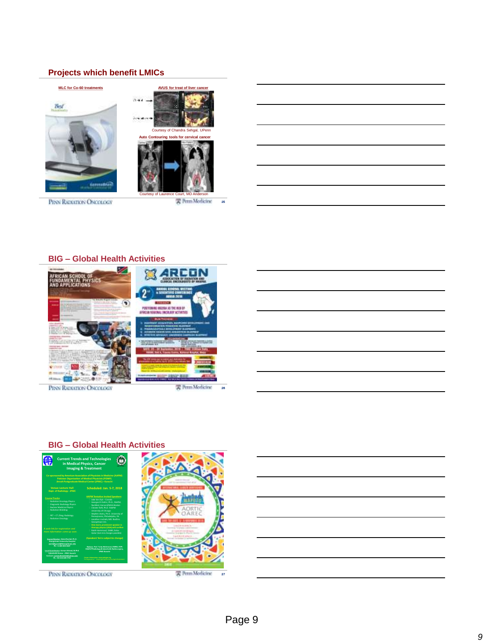# **Projects which benefit LMICs**



PENN RADIATION ONCOLOGY

Courtesy of Laurence Court, MD Anderson 雲 Rrm Modicine

25

# **BIG – Global Health Activities**



PENN RADIATION ONCOLOGY



26





雲 Perm Medicine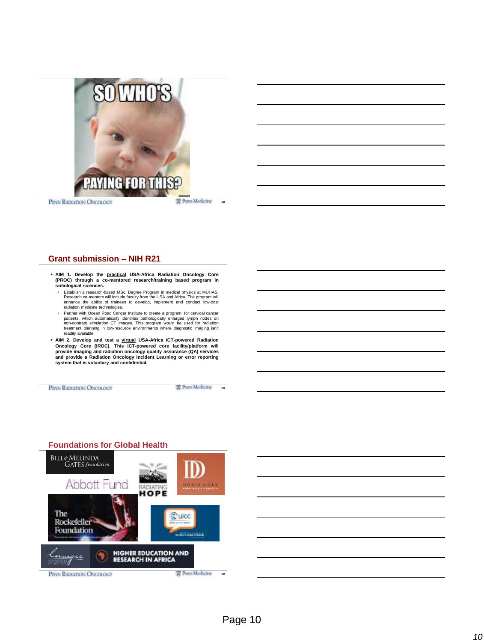

PENN RADIATION ONCOLOGY

实 Perm Medicine

28

### **Grant submission – NIH R21**

- AIM 1. Develop the practical USA-Africa Radiation Oncology Core<br>PROC) through a co-mentored research/training based program in) **radiological sciences.**
- Establish a research-based MSc. Degree Program in medical physics at MUHAS.<br>Research co-mentors will include faculty from the USA and Africa. The program will<br>enhance the ability of trainees to develop, implement and con radiation medicine technologies.
- Partner with Ocean Road Cancer Institute to create a program, for cervical cancer<br>patients, which automatically identifies pathologically enlarged lymph nodes on<br>on-contrast simulation CT images. This program would be us readily available.
- AIM 2. Develop and test a <u>virtual</u> USA-Africa ICT-powered Radiation<br>Oncology Core (IROC). This ICT-powered core facility/platform will<br>provide imaging and radiation oncology quality assurance (QA) services<br>and provide a **system that is voluntary and confidential.**

PENN RADIATION ONCOLOGY

实 Perm Medicine 29



# **Foundations for Global Health**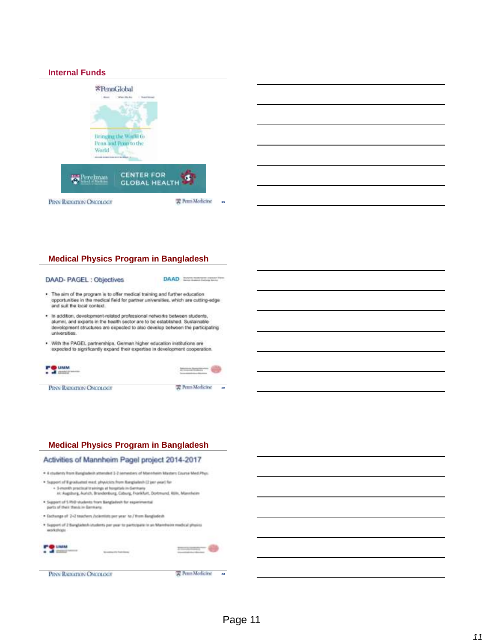### **Internal Funds**



# **Medical Physics Program in Bangladesh**

#### DAAD- PAGEL: Objectives

DAAD CONSTRUCTION

- The aim of the program is to offer medical training and further education<br>opportunities in the medical field for partner universities, which are cutting-edge and suit the local context.
- . In addition, development-related professional networks between students, alumni, and experts in the health sector are to be established. Sustainable development structures are expected to also develop between the participating universities
- . With the PAGEL partnerships, German higher education institutions are expected to significantly expand their expertise in development cooperation.



PENN RADIATION ONCOLOGY



### **Medical Physics Program in Bangladesh**

### Activities of Mannheim Pagel project 2014-2017

- . 4 students from Rangladesh attended 3-2 semesters of Masonheim Masters Course Med-Phys.
- . Support of it graduated meet, physicists from Kangladesh (2 per year) for - 3-month practical trainings at honortals in Gerri Al Augsburg, Aurich, Brandenburg, Coburg, Frankfurt, Dortmund, Kölk, Makeheim
- . Support of 5 PHD students from Bangladout for experimental parts of their things in Garmany.
- . Exchange of 2+2 truchers /scientists per year for/ thom Bungladesh
- . Support of 2 Bangladesh insidents per year to participate in an Mancheire medical physics workshops

| __ | a Din |                    | Mary Corp. And Corp.          |   |
|----|-------|--------------------|-------------------------------|---|
| T. |       | <u> Matematika</u> | <b>SALE</b><br><b>Service</b> | ٠ |
|    |       |                    |                               |   |
|    |       |                    |                               |   |

雲 Perm Modicine

**PO UNA**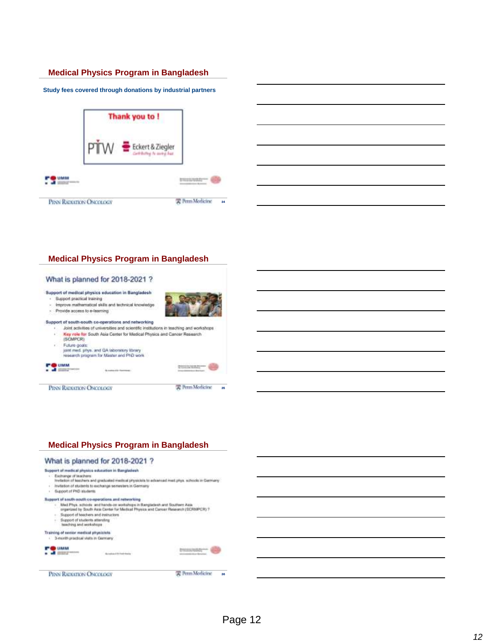### **Medical Physics Program in Bangladesh**

**Study fees covered through donations by industrial partners**



### **Medical Physics Program in Bangladesh**





PENN RADIATION ONCOLOGY